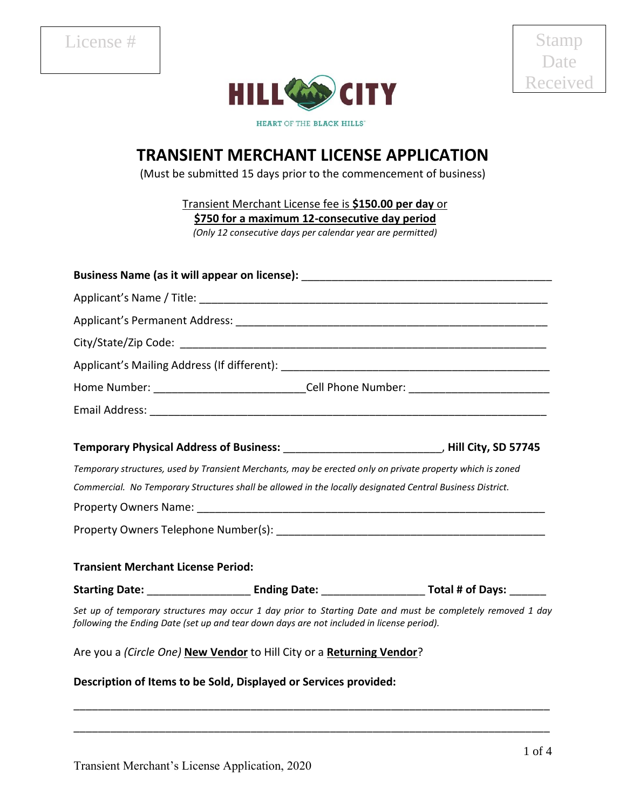

Stamp Date Received

HEART OF THE BLACK HILLS"

## **TRANSIENT MERCHANT LICENSE APPLICATION**

(Must be submitted 15 days prior to the commencement of business)

Transient Merchant License fee is **\$150.00 per day** or

**\$750 for a maximum 12-consecutive day period**

*(Only 12 consecutive days per calendar year are permitted)*

| Home Number: _________________________________Cell Phone Number: ___________________________________      |  |                                                                                                            |  |  |  |  |  |  |  |  |  |  |
|-----------------------------------------------------------------------------------------------------------|--|------------------------------------------------------------------------------------------------------------|--|--|--|--|--|--|--|--|--|--|
|                                                                                                           |  |                                                                                                            |  |  |  |  |  |  |  |  |  |  |
| Temporary Physical Address of Business: _________________________________, Hill City, SD 57745            |  |                                                                                                            |  |  |  |  |  |  |  |  |  |  |
| Temporary structures, used by Transient Merchants, may be erected only on private property which is zoned |  |                                                                                                            |  |  |  |  |  |  |  |  |  |  |
| Commercial. No Temporary Structures shall be allowed in the locally designated Central Business District. |  |                                                                                                            |  |  |  |  |  |  |  |  |  |  |
|                                                                                                           |  |                                                                                                            |  |  |  |  |  |  |  |  |  |  |
|                                                                                                           |  |                                                                                                            |  |  |  |  |  |  |  |  |  |  |
| <b>Transient Merchant License Period:</b>                                                                 |  |                                                                                                            |  |  |  |  |  |  |  |  |  |  |
|                                                                                                           |  |                                                                                                            |  |  |  |  |  |  |  |  |  |  |
| following the Ending Date (set up and tear down days are not included in license period).                 |  | Set up of temporary structures may occur 1 day prior to Starting Date and must be completely removed 1 day |  |  |  |  |  |  |  |  |  |  |
| Are you a (Circle One) New Vendor to Hill City or a Returning Vendor?                                     |  |                                                                                                            |  |  |  |  |  |  |  |  |  |  |
| Description of Items to be Sold, Displayed or Services provided:                                          |  |                                                                                                            |  |  |  |  |  |  |  |  |  |  |

\_\_\_\_\_\_\_\_\_\_\_\_\_\_\_\_\_\_\_\_\_\_\_\_\_\_\_\_\_\_\_\_\_\_\_\_\_\_\_\_\_\_\_\_\_\_\_\_\_\_\_\_\_\_\_\_\_\_\_\_\_\_\_\_\_\_\_\_\_\_\_\_\_\_\_\_\_\_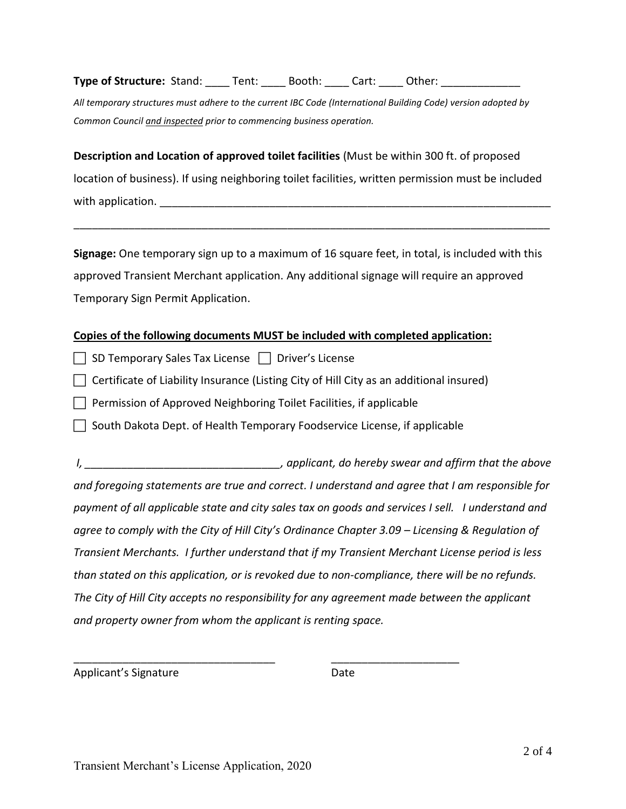**Type of Structure:** Stand: \_\_\_\_ Tent: \_\_\_\_ Booth: \_\_\_\_ Cart: \_\_\_\_ Other: \_\_\_\_\_\_\_

*All temporary structures must adhere to the current IBC Code (International Building Code) version adopted by Common Council and inspected prior to commencing business operation.*

**Description and Location of approved toilet facilities** (Must be within 300 ft. of proposed location of business). If using neighboring toilet facilities, written permission must be included with application.  $\blacksquare$ 

\_\_\_\_\_\_\_\_\_\_\_\_\_\_\_\_\_\_\_\_\_\_\_\_\_\_\_\_\_\_\_\_\_\_\_\_\_\_\_\_\_\_\_\_\_\_\_\_\_\_\_\_\_\_\_\_\_\_\_\_\_\_\_\_\_\_\_\_\_\_\_\_\_\_\_\_\_\_

**Signage:** One temporary sign up to a maximum of 16 square feet, in total, is included with this approved Transient Merchant application. Any additional signage will require an approved Temporary Sign Permit Application.

## **Copies of the following documents MUST be included with completed application:**

| SD Temporary Sales Tax License | | Driver's License

 $\Box$  Certificate of Liability Insurance (Listing City of Hill City as an additional insured)

 $\Box$  Permission of Approved Neighboring Toilet Facilities, if applicable

South Dakota Dept. of Health Temporary Foodservice License, if applicable

\_\_\_\_\_\_\_\_\_\_\_\_\_\_\_\_\_\_\_\_\_\_\_\_\_\_\_\_\_\_\_\_\_ \_\_\_\_\_\_\_\_\_\_\_\_\_\_\_\_\_\_\_\_\_

*I*, *applicant, do hereby swear and affirm that the above and foregoing statements are true and correct. I understand and agree that I am responsible for payment of all applicable state and city sales tax on goods and services I sell. I understand and agree to comply with the City of Hill City's Ordinance Chapter 3.09 – Licensing & Regulation of Transient Merchants. I further understand that if my Transient Merchant License period is less than stated on this application, or is revoked due to non-compliance, there will be no refunds. The City of Hill City accepts no responsibility for any agreement made between the applicant and property owner from whom the applicant is renting space.* 

Applicant's Signature Date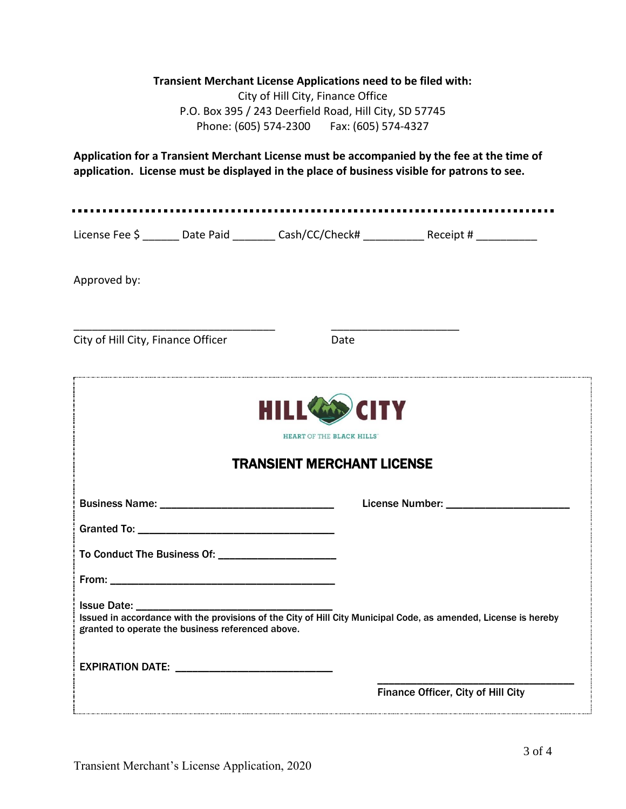## **Transient Merchant License Applications need to be filed with:**

City of Hill City, Finance Office P.O. Box 395 / 243 Deerfield Road, Hill City, SD 57745 Phone: (605) 574-2300 Fax: (605) 574-4327

**Application for a Transient Merchant License must be accompanied by the fee at the time of application. License must be displayed in the place of business visible for patrons to see.** 

License Fee \$ \_\_\_\_\_\_ Date Paid \_\_\_\_\_\_\_ Cash/CC/Check# \_\_\_\_\_\_\_\_\_ Receipt # \_\_\_\_\_\_\_\_

\_\_\_\_\_\_\_\_\_\_\_\_\_\_\_\_\_\_\_\_\_\_\_\_\_\_\_\_\_\_\_\_\_ \_\_\_\_\_\_\_\_\_\_\_\_\_\_\_\_\_\_\_\_\_

Approved by:

City of Hill City, Finance Officer **Date** 

| <b>HILL CODY</b> CITY<br>HEART OF THE BLACK HILLS<br><b>TRANSIENT MERCHANT LICENSE</b>                                                                               |                                    |  |  |  |  |  |  |  |  |  |
|----------------------------------------------------------------------------------------------------------------------------------------------------------------------|------------------------------------|--|--|--|--|--|--|--|--|--|
|                                                                                                                                                                      |                                    |  |  |  |  |  |  |  |  |  |
|                                                                                                                                                                      |                                    |  |  |  |  |  |  |  |  |  |
|                                                                                                                                                                      |                                    |  |  |  |  |  |  |  |  |  |
|                                                                                                                                                                      |                                    |  |  |  |  |  |  |  |  |  |
|                                                                                                                                                                      |                                    |  |  |  |  |  |  |  |  |  |
| Issued in accordance with the provisions of the City of Hill City Municipal Code, as amended, License is hereby<br>granted to operate the business referenced above. |                                    |  |  |  |  |  |  |  |  |  |
| EXPIRATION DATE: ______________________________                                                                                                                      |                                    |  |  |  |  |  |  |  |  |  |
|                                                                                                                                                                      | Finance Officer, City of Hill City |  |  |  |  |  |  |  |  |  |